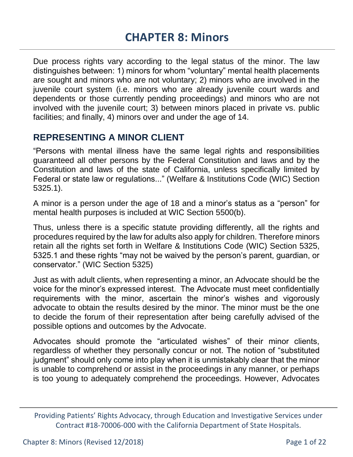Due process rights vary according to the legal status of the minor. The law distinguishes between: 1) minors for whom "voluntary" mental health placements are sought and minors who are not voluntary; 2) minors who are involved in the juvenile court system (i.e. minors who are already juvenile court wards and dependents or those currently pending proceedings) and minors who are not involved with the juvenile court; 3) between minors placed in private vs. public facilities; and finally, 4) minors over and under the age of 14.

# **REPRESENTING A MINOR CLIENT**

"Persons with mental illness have the same legal rights and responsibilities guaranteed all other persons by the Federal Constitution and laws and by the Constitution and laws of the state of California, unless specifically limited by Federal or state law or regulations..." (Welfare & Institutions Code (WIC) Section 5325.1).

A minor is a person under the age of 18 and a minor's status as a "person" for mental health purposes is included at WIC Section 5500(b).

Thus, unless there is a specific statute providing differently, all the rights and procedures required by the law for adults also apply for children. Therefore minors retain all the rights set forth in Welfare & Institutions Code (WIC) Section 5325, 5325.1 and these rights "may not be waived by the person's parent, guardian, or conservator." (WIC Section 5325)

Just as with adult clients, when representing a minor, an Advocate should be the voice for the minor's expressed interest. The Advocate must meet confidentially requirements with the minor, ascertain the minor's wishes and vigorously advocate to obtain the results desired by the minor. The minor must be the one to decide the forum of their representation after being carefully advised of the possible options and outcomes by the Advocate.

Advocates should promote the "articulated wishes" of their minor clients, regardless of whether they personally concur or not. The notion of "substituted judgment" should only come into play when it is unmistakably clear that the minor is unable to comprehend or assist in the proceedings in any manner, or perhaps is too young to adequately comprehend the proceedings. However, Advocates

Providing Patients' Rights Advocacy, through Education and Investigative Services under Contract #18-70006-000 with the California Department of State Hospitals.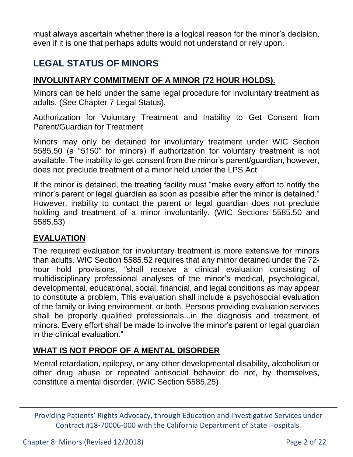must always ascertain whether there is a logical reason for the minor's decision, even if it is one that perhaps adults would not understand or rely upon.

# **LEGAL STATUS OF MINORS**

#### **INVOLUNTARY COMMITMENT OF A MINOR (72 HOUR HOLDS).**

Minors can be held under the same legal procedure for involuntary treatment as adults. (See Chapter 7 Legal Status).

Authorization for Voluntary Treatment and Inability to Get Consent from Parent/Guardian for Treatment

Minors may only be detained for involuntary treatment under WIC Section 5585.50 (a "5150" for minors) if authorization for voluntary treatment is not available. The inability to get consent from the minor's parent/guardian, however, does not preclude treatment of a minor held under the LPS Act.

If the minor is detained, the treating facility must "make every effort to notify the minor's parent or legal guardian as soon as possible after the minor is detained." However, inability to contact the parent or legal guardian does not preclude holding and treatment of a minor involuntarily. (WIC Sections 5585.50 and 5585.53)

#### **EVALUATION**

The required evaluation for involuntary treatment is more extensive for minors than adults. WIC Section 5585.52 requires that any minor detained under the 72 hour hold provisions, "shall receive a clinical evaluation consisting of multidisciplinary professional analyses of the minor's medical, psychological, developmental, educational, social, financial, and legal conditions as may appear to constitute a problem. This evaluation shall include a psychosocial evaluation of the family or living environment, or both. Persons providing evaluation services shall be properly qualified professionals...in the diagnosis and treatment of minors. Every effort shall be made to involve the minor's parent or legal guardian in the clinical evaluation."

#### **WHAT IS NOT PROOF OF A MENTAL DISORDER**

Mental retardation, epilepsy, or any other developmental disability, alcoholism or other drug abuse or repeated antisocial behavior do not, by themselves, constitute a mental disorder. (WIC Section 5585.25)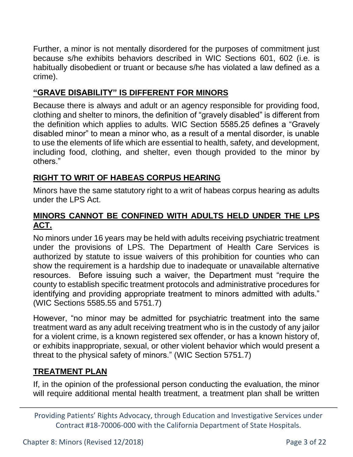Further, a minor is not mentally disordered for the purposes of commitment just because s/he exhibits behaviors described in WIC Sections 601, 602 (i.e. is habitually disobedient or truant or because s/he has violated a law defined as a crime).

#### **"GRAVE DISABILITY" IS DIFFERENT FOR MINORS**

Because there is always and adult or an agency responsible for providing food, clothing and shelter to minors, the definition of "gravely disabled" is different from the definition which applies to adults. WIC Section 5585.25 defines a "Gravely disabled minor" to mean a minor who, as a result of a mental disorder, is unable to use the elements of life which are essential to health, safety, and development, including food, clothing, and shelter, even though provided to the minor by others."

### **RIGHT TO WRIT OF HABEAS CORPUS HEARING**

Minors have the same statutory right to a writ of habeas corpus hearing as adults under the LPS Act.

#### **MINORS CANNOT BE CONFINED WITH ADULTS HELD UNDER THE LPS ACT.**

No minors under 16 years may be held with adults receiving psychiatric treatment under the provisions of LPS. The Department of Health Care Services is authorized by statute to issue waivers of this prohibition for counties who can show the requirement is a hardship due to inadequate or unavailable alternative resources. Before issuing such a waiver, the Department must "require the county to establish specific treatment protocols and administrative procedures for identifying and providing appropriate treatment to minors admitted with adults." (WIC Sections 5585.55 and 5751.7)

However, "no minor may be admitted for psychiatric treatment into the same treatment ward as any adult receiving treatment who is in the custody of any jailor for a violent crime, is a known registered sex offender, or has a known history of, or exhibits inappropriate, sexual, or other violent behavior which would present a threat to the physical safety of minors." (WIC Section 5751.7)

#### **TREATMENT PLAN**

If, in the opinion of the professional person conducting the evaluation, the minor will require additional mental health treatment, a treatment plan shall be written

Providing Patients' Rights Advocacy, through Education and Investigative Services under Contract #18-70006-000 with the California Department of State Hospitals.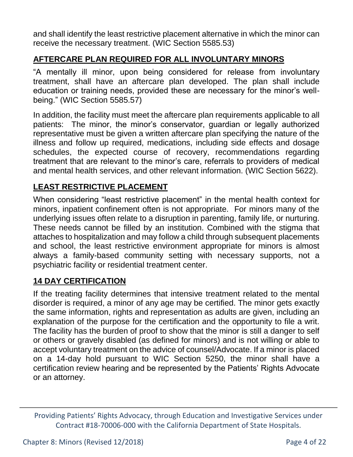and shall identify the least restrictive placement alternative in which the minor can receive the necessary treatment. (WIC Section 5585.53)

## **AFTERCARE PLAN REQUIRED FOR ALL INVOLUNTARY MINORS**

"A mentally ill minor, upon being considered for release from involuntary treatment, shall have an aftercare plan developed. The plan shall include education or training needs, provided these are necessary for the minor's wellbeing." (WIC Section 5585.57)

In addition, the facility must meet the aftercare plan requirements applicable to all patients: The minor, the minor's conservator, guardian or legally authorized representative must be given a written aftercare plan specifying the nature of the illness and follow up required, medications, including side effects and dosage schedules, the expected course of recovery, recommendations regarding treatment that are relevant to the minor's care, referrals to providers of medical and mental health services, and other relevant information. (WIC Section 5622).

### **LEAST RESTRICTIVE PLACEMENT**

When considering "least restrictive placement" in the mental health context for minors, inpatient confinement often is not appropriate. For minors many of the underlying issues often relate to a disruption in parenting, family life, or nurturing. These needs cannot be filled by an institution. Combined with the stigma that attaches to hospitalization and may follow a child through subsequent placements and school, the least restrictive environment appropriate for minors is almost always a family-based community setting with necessary supports, not a psychiatric facility or residential treatment center.

## **14 DAY CERTIFICATION**

If the treating facility determines that intensive treatment related to the mental disorder is required, a minor of any age may be certified. The minor gets exactly the same information, rights and representation as adults are given, including an explanation of the purpose for the certification and the opportunity to file a writ. The facility has the burden of proof to show that the minor is still a danger to self or others or gravely disabled (as defined for minors) and is not willing or able to accept voluntary treatment on the advice of counsel/Advocate. If a minor is placed on a 14-day hold pursuant to WIC Section 5250, the minor shall have a certification review hearing and be represented by the Patients' Rights Advocate or an attorney.

Providing Patients' Rights Advocacy, through Education and Investigative Services under Contract #18-70006-000 with the California Department of State Hospitals.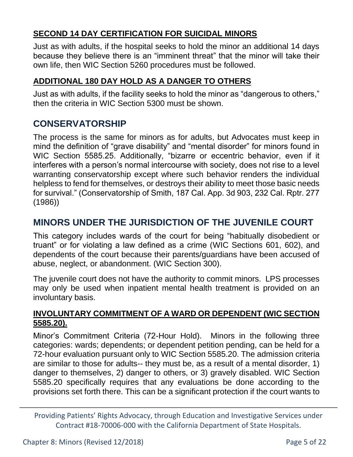### **SECOND 14 DAY CERTIFICATION FOR SUICIDAL MINORS**

Just as with adults, if the hospital seeks to hold the minor an additional 14 days because they believe there is an "imminent threat" that the minor will take their own life, then WIC Section 5260 procedures must be followed.

#### **ADDITIONAL 180 DAY HOLD AS A DANGER TO OTHERS**

Just as with adults, if the facility seeks to hold the minor as "dangerous to others," then the criteria in WIC Section 5300 must be shown.

# **CONSERVATORSHIP**

The process is the same for minors as for adults, but Advocates must keep in mind the definition of "grave disability" and "mental disorder" for minors found in WIC Section 5585.25. Additionally, "bizarre or eccentric behavior, even if it interferes with a person's normal intercourse with society, does not rise to a level warranting conservatorship except where such behavior renders the individual helpless to fend for themselves, or destroys their ability to meet those basic needs for survival." (Conservatorship of Smith, 187 Cal. App. 3d 903, 232 Cal. Rptr. 277 (1986))

# **MINORS UNDER THE JURISDICTION OF THE JUVENILE COURT**

This category includes wards of the court for being "habitually disobedient or truant" or for violating a law defined as a crime (WIC Sections 601, 602), and dependents of the court because their parents/guardians have been accused of abuse, neglect, or abandonment. (WIC Section 300).

The juvenile court does not have the authority to commit minors. LPS processes may only be used when inpatient mental health treatment is provided on an involuntary basis.

#### **INVOLUNTARY COMMITMENT OF A WARD OR DEPENDENT (WIC SECTION 5585.20).**

Minor's Commitment Criteria (72-Hour Hold). Minors in the following three categories: wards; dependents; or dependent petition pending, can be held for a 72-hour evaluation pursuant only to WIC Section 5585.20. The admission criteria are similar to those for adults-- they must be, as a result of a mental disorder, 1) danger to themselves, 2) danger to others, or 3) gravely disabled. WIC Section 5585.20 specifically requires that any evaluations be done according to the provisions set forth there. This can be a significant protection if the court wants to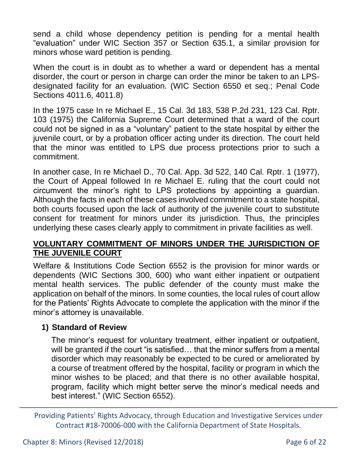send a child whose dependency petition is pending for a mental health "evaluation" under WIC Section 357 or Section 635.1, a similar provision for minors whose ward petition is pending.

When the court is in doubt as to whether a ward or dependent has a mental disorder, the court or person in charge can order the minor be taken to an LPSdesignated facility for an evaluation. (WIC Section 6550 et seq.; Penal Code Sections 4011.6, 4011.8)

In the 1975 case In re Michael E., 15 Cal. 3d 183, 538 P.2d 231, 123 Cal. Rptr. 103 (1975) the California Supreme Court determined that a ward of the court could not be signed in as a "voluntary" patient to the state hospital by either the juvenile court, or by a probation officer acting under its direction. The court held that the minor was entitled to LPS due process protections prior to such a commitment.

In another case, In re Michael D., 70 Cal. App. 3d 522, 140 Cal. Rptr. 1 (1977), the Court of Appeal followed In re Michael E. ruling that the court could not circumvent the minor's right to LPS protections by appointing a guardian. Although the facts in each of these cases involved commitment to a state hospital, both courts focused upon the lack of authority of the juvenile court to substitute consent for treatment for minors under its jurisdiction. Thus, the principles underlying these cases clearly apply to commitment in private facilities as well.

#### **VOLUNTARY COMMITMENT OF MINORS UNDER THE JURISDICTION OF THE JUVENILE COURT**

Welfare & Institutions Code Section 6552 is the provision for minor wards or dependents (WIC Sections 300, 600) who want either inpatient or outpatient mental health services. The public defender of the county must make the application on behalf of the minors. In some counties, the local rules of court allow for the Patients' Rights Advocate to complete the application with the minor if the minor's attorney is unavailable.

#### **1) Standard of Review**

The minor's request for voluntary treatment, either inpatient or outpatient, will be granted if the court "is satisfied... that the minor suffers from a mental disorder which may reasonably be expected to be cured or ameliorated by a course of treatment offered by the hospital, facility or program in which the minor wishes to be placed; and that there is no other available hospital, program, facility which might better serve the minor's medical needs and best interest." (WIC Section 6552).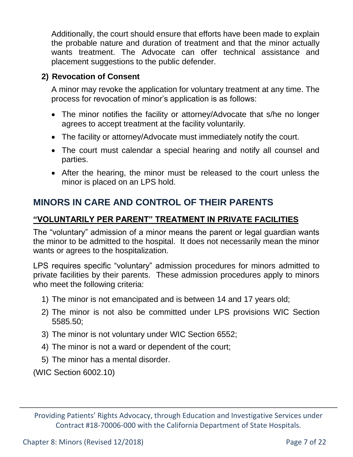Additionally, the court should ensure that efforts have been made to explain the probable nature and duration of treatment and that the minor actually wants treatment. The Advocate can offer technical assistance and placement suggestions to the public defender.

#### **2) Revocation of Consent**

A minor may revoke the application for voluntary treatment at any time. The process for revocation of minor's application is as follows:

- The minor notifies the facility or attorney/Advocate that s/he no longer agrees to accept treatment at the facility voluntarily.
- The facility or attorney/Advocate must immediately notify the court.
- The court must calendar a special hearing and notify all counsel and parties.
- After the hearing, the minor must be released to the court unless the minor is placed on an LPS hold.

# **MINORS IN CARE AND CONTROL OF THEIR PARENTS**

#### **"VOLUNTARILY PER PARENT" TREATMENT IN PRIVATE FACILITIES**

The "voluntary" admission of a minor means the parent or legal guardian wants the minor to be admitted to the hospital. It does not necessarily mean the minor wants or agrees to the hospitalization.

LPS requires specific "voluntary" admission procedures for minors admitted to private facilities by their parents. These admission procedures apply to minors who meet the following criteria:

- 1) The minor is not emancipated and is between 14 and 17 years old;
- 2) The minor is not also be committed under LPS provisions WIC Section 5585.50;
- 3) The minor is not voluntary under WIC Section 6552;
- 4) The minor is not a ward or dependent of the court;
- 5) The minor has a mental disorder.

(WIC Section 6002.10)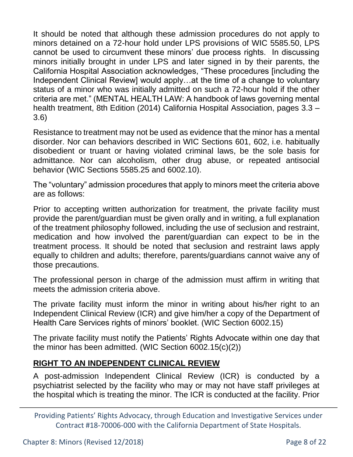It should be noted that although these admission procedures do not apply to minors detained on a 72-hour hold under LPS provisions of WIC 5585.50, LPS cannot be used to circumvent these minors' due process rights. In discussing minors initially brought in under LPS and later signed in by their parents, the California Hospital Association acknowledges, "These procedures [including the Independent Clinical Review] would apply…at the time of a change to voluntary status of a minor who was initially admitted on such a 72-hour hold if the other criteria are met." (MENTAL HEALTH LAW: A handbook of laws governing mental health treatment, 8th Edition (2014) California Hospital Association, pages 3.3 – 3.6)

Resistance to treatment may not be used as evidence that the minor has a mental disorder. Nor can behaviors described in WIC Sections 601, 602, i.e. habitually disobedient or truant or having violated criminal laws, be the sole basis for admittance. Nor can alcoholism, other drug abuse, or repeated antisocial behavior (WIC Sections 5585.25 and 6002.10).

The "voluntary" admission procedures that apply to minors meet the criteria above are as follows:

Prior to accepting written authorization for treatment, the private facility must provide the parent/guardian must be given orally and in writing, a full explanation of the treatment philosophy followed, including the use of seclusion and restraint, medication and how involved the parent/guardian can expect to be in the treatment process. It should be noted that seclusion and restraint laws apply equally to children and adults; therefore, parents/guardians cannot waive any of those precautions.

The professional person in charge of the admission must affirm in writing that meets the admission criteria above.

The private facility must inform the minor in writing about his/her right to an Independent Clinical Review (ICR) and give him/her a copy of the Department of Health Care Services rights of minors' booklet. (WIC Section 6002.15)

The private facility must notify the Patients' Rights Advocate within one day that the minor has been admitted. (WIC Section 6002.15(c)(2))

#### **RIGHT TO AN INDEPENDENT CLINICAL REVIEW**

A post-admission Independent Clinical Review (ICR) is conducted by a psychiatrist selected by the facility who may or may not have staff privileges at the hospital which is treating the minor. The ICR is conducted at the facility. Prior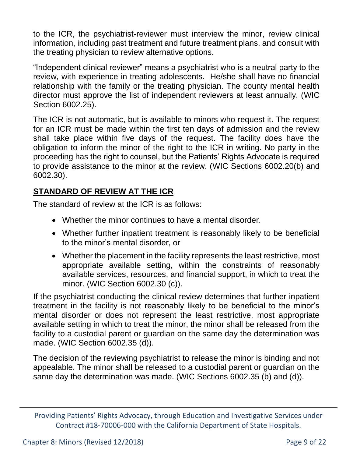to the ICR, the psychiatrist-reviewer must interview the minor, review clinical information, including past treatment and future treatment plans, and consult with the treating physician to review alternative options.

"Independent clinical reviewer" means a psychiatrist who is a neutral party to the review, with experience in treating adolescents. He/she shall have no financial relationship with the family or the treating physician. The county mental health director must approve the list of independent reviewers at least annually. (WIC Section 6002.25).

The ICR is not automatic, but is available to minors who request it. The request for an ICR must be made within the first ten days of admission and the review shall take place within five days of the request. The facility does have the obligation to inform the minor of the right to the ICR in writing. No party in the proceeding has the right to counsel, but the Patients' Rights Advocate is required to provide assistance to the minor at the review. (WIC Sections 6002.20(b) and 6002.30).

## **STANDARD OF REVIEW AT THE ICR**

The standard of review at the ICR is as follows:

- Whether the minor continues to have a mental disorder.
- Whether further inpatient treatment is reasonably likely to be beneficial to the minor's mental disorder, or
- Whether the placement in the facility represents the least restrictive, most appropriate available setting, within the constraints of reasonably available services, resources, and financial support, in which to treat the minor. (WIC Section 6002.30 (c)).

If the psychiatrist conducting the clinical review determines that further inpatient treatment in the facility is not reasonably likely to be beneficial to the minor's mental disorder or does not represent the least restrictive, most appropriate available setting in which to treat the minor, the minor shall be released from the facility to a custodial parent or guardian on the same day the determination was made. (WIC Section 6002.35 (d)).

The decision of the reviewing psychiatrist to release the minor is binding and not appealable. The minor shall be released to a custodial parent or guardian on the same day the determination was made. (WIC Sections 6002.35 (b) and (d)).

Providing Patients' Rights Advocacy, through Education and Investigative Services under Contract #18-70006-000 with the California Department of State Hospitals.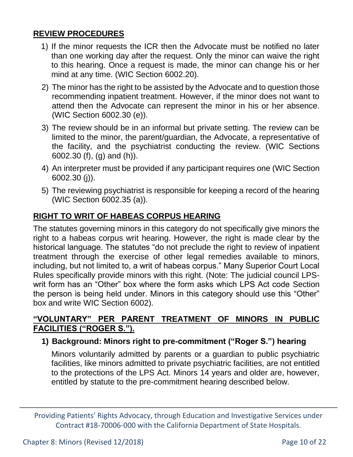#### **REVIEW PROCEDURES**

- 1) If the minor requests the ICR then the Advocate must be notified no later than one working day after the request. Only the minor can waive the right to this hearing. Once a request is made, the minor can change his or her mind at any time. (WIC Section 6002.20).
- 2) The minor has the right to be assisted by the Advocate and to question those recommending inpatient treatment. However, if the minor does not want to attend then the Advocate can represent the minor in his or her absence. (WIC Section 6002.30 (e)).
- 3) The review should be in an informal but private setting. The review can be limited to the minor, the parent/guardian, the Advocate, a representative of the facility, and the psychiatrist conducting the review. (WIC Sections 6002.30 (f), (g) and (h)).
- 4) An interpreter must be provided if any participant requires one (WIC Section 6002.30 (j)).
- 5) The reviewing psychiatrist is responsible for keeping a record of the hearing (WIC Section 6002.35 (a)).

## **RIGHT TO WRIT OF HABEAS CORPUS HEARING**

The statutes governing minors in this category do not specifically give minors the right to a habeas corpus writ hearing. However, the right is made clear by the historical language. The statutes "do not preclude the right to review of inpatient treatment through the exercise of other legal remedies available to minors, including, but not limited to, a writ of habeas corpus." Many Superior Court Local Rules specifically provide minors with this right. (Note: The judicial council LPSwrit form has an "Other" box where the form asks which LPS Act code Section the person is being held under. Minors in this category should use this "Other" box and write WIC Section 6002).

#### **"VOLUNTARY" PER PARENT TREATMENT OF MINORS IN PUBLIC FACILITIES ("ROGER S.").**

#### **1) Background: Minors right to pre-commitment ("Roger S.") hearing**

Minors voluntarily admitted by parents or a guardian to public psychiatric facilities, like minors admitted to private psychiatric facilities, are not entitled to the protections of the LPS Act. Minors 14 years and older are, however, entitled by statute to the pre-commitment hearing described below.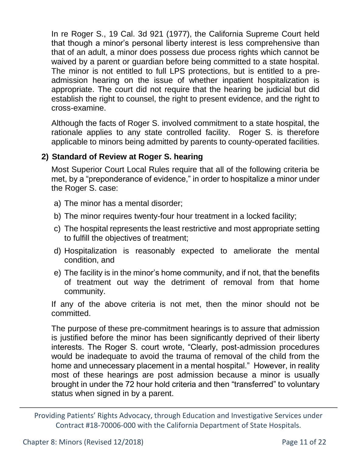In re Roger S., 19 Cal. 3d 921 (1977), the California Supreme Court held that though a minor's personal liberty interest is less comprehensive than that of an adult, a minor does possess due process rights which cannot be waived by a parent or guardian before being committed to a state hospital. The minor is not entitled to full LPS protections, but is entitled to a preadmission hearing on the issue of whether inpatient hospitalization is appropriate. The court did not require that the hearing be judicial but did establish the right to counsel, the right to present evidence, and the right to cross-examine.

Although the facts of Roger S. involved commitment to a state hospital, the rationale applies to any state controlled facility. Roger S. is therefore applicable to minors being admitted by parents to county-operated facilities.

#### **2) Standard of Review at Roger S. hearing**

Most Superior Court Local Rules require that all of the following criteria be met, by a "preponderance of evidence," in order to hospitalize a minor under the Roger S. case:

- a) The minor has a mental disorder;
- b) The minor requires twenty-four hour treatment in a locked facility;
- c) The hospital represents the least restrictive and most appropriate setting to fulfill the objectives of treatment;
- d) Hospitalization is reasonably expected to ameliorate the mental condition, and
- e) The facility is in the minor's home community, and if not, that the benefits of treatment out way the detriment of removal from that home community.

If any of the above criteria is not met, then the minor should not be committed.

The purpose of these pre-commitment hearings is to assure that admission is justified before the minor has been significantly deprived of their liberty interests. The Roger S. court wrote, "Clearly, post-admission procedures would be inadequate to avoid the trauma of removal of the child from the home and unnecessary placement in a mental hospital." However, in reality most of these hearings are post admission because a minor is usually brought in under the 72 hour hold criteria and then "transferred" to voluntary status when signed in by a parent.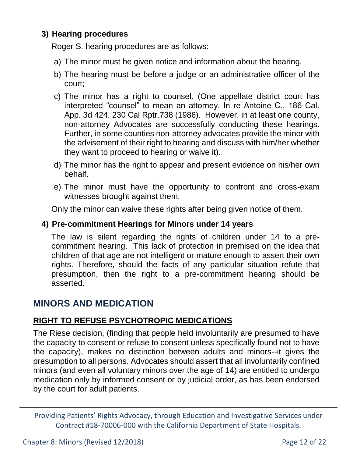#### **3) Hearing procedures**

Roger S. hearing procedures are as follows:

- a) The minor must be given notice and information about the hearing.
- b) The hearing must be before a judge or an administrative officer of the court;
- c) The minor has a right to counsel. (One appellate district court has interpreted "counsel" to mean an attorney. In re Antoine C., 186 Cal. App. 3d 424, 230 Cal Rptr.738 (1986). However, in at least one county, non-attorney Advocates are successfully conducting these hearings. Further, in some counties non-attorney advocates provide the minor with the advisement of their right to hearing and discuss with him/her whether they want to proceed to hearing or waive it).
- d) The minor has the right to appear and present evidence on his/her own behalf.
- e) The minor must have the opportunity to confront and cross-exam witnesses brought against them.

Only the minor can waive these rights after being given notice of them.

#### **4) Pre-commitment Hearings for Minors under 14 years**

The law is silent regarding the rights of children under 14 to a precommitment hearing. This lack of protection in premised on the idea that children of that age are not intelligent or mature enough to assert their own rights. Therefore, should the facts of any particular situation refute that presumption, then the right to a pre-commitment hearing should be asserted.

# **MINORS AND MEDICATION**

#### **RIGHT TO REFUSE PSYCHOTROPIC MEDICATIONS**

The Riese decision, (finding that people held involuntarily are presumed to have the capacity to consent or refuse to consent unless specifically found not to have the capacity), makes no distinction between adults and minors--it gives the presumption to all persons. Advocates should assert that all involuntarily confined minors (and even all voluntary minors over the age of 14) are entitled to undergo medication only by informed consent or by judicial order, as has been endorsed by the court for adult patients.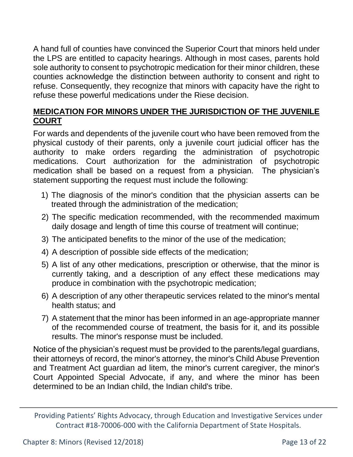A hand full of counties have convinced the Superior Court that minors held under the LPS are entitled to capacity hearings. Although in most cases, parents hold sole authority to consent to psychotropic medication for their minor children, these counties acknowledge the distinction between authority to consent and right to refuse. Consequently, they recognize that minors with capacity have the right to refuse these powerful medications under the Riese decision.

### **MEDICATION FOR MINORS UNDER THE JURISDICTION OF THE JUVENILE COURT**

For wards and dependents of the juvenile court who have been removed from the physical custody of their parents, only a juvenile court judicial officer has the authority to make orders regarding the administration of psychotropic medications. Court authorization for the administration of psychotropic medication shall be based on a request from a physician. The physician's statement supporting the request must include the following:

- 1) The diagnosis of the minor's condition that the physician asserts can be treated through the administration of the medication;
- 2) The specific medication recommended, with the recommended maximum daily dosage and length of time this course of treatment will continue;
- 3) The anticipated benefits to the minor of the use of the medication;
- 4) A description of possible side effects of the medication;
- 5) A list of any other medications, prescription or otherwise, that the minor is currently taking, and a description of any effect these medications may produce in combination with the psychotropic medication;
- 6) A description of any other therapeutic services related to the minor's mental health status; and
- 7) A statement that the minor has been informed in an age-appropriate manner of the recommended course of treatment, the basis for it, and its possible results. The minor's response must be included.

Notice of the physician's request must be provided to the parents/legal guardians, their attorneys of record, the minor's attorney, the minor's Child Abuse Prevention and Treatment Act guardian ad litem, the minor's current caregiver, the minor's Court Appointed Special Advocate, if any, and where the minor has been determined to be an Indian child, the Indian child's tribe.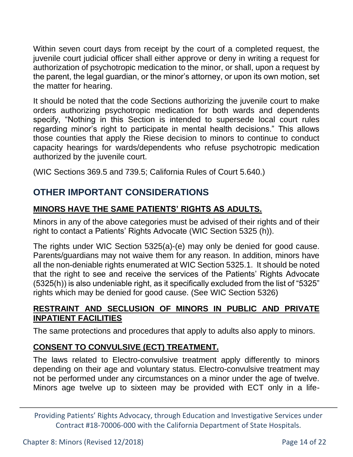Within seven court days from receipt by the court of a completed request, the juvenile court judicial officer shall either approve or deny in writing a request for authorization of psychotropic medication to the minor, or shall, upon a request by the parent, the legal guardian, or the minor's attorney, or upon its own motion, set the matter for hearing.

It should be noted that the code Sections authorizing the juvenile court to make orders authorizing psychotropic medication for both wards and dependents specify, "Nothing in this Section is intended to supersede local court rules regarding minor's right to participate in mental health decisions." This allows those counties that apply the Riese decision to minors to continue to conduct capacity hearings for wards/dependents who refuse psychotropic medication authorized by the juvenile court.

(WIC Sections 369.5 and 739.5; California Rules of Court 5.640.)

# **OTHER IMPORTANT CONSIDERATIONS**

# **MINORS HAVE THE SAME PATIENTS' RIGHTS AS ADULTS.**

Minors in any of the above categories must be advised of their rights and of their right to contact a Patients' Rights Advocate (WIC Section 5325 (h)).

The rights under WIC Section 5325(a)-(e) may only be denied for good cause. Parents/guardians may not waive them for any reason. In addition, minors have all the non-deniable rights enumerated at WIC Section 5325.1. It should be noted that the right to see and receive the services of the Patients' Rights Advocate (5325(h)) is also undeniable right, as it specifically excluded from the list of "5325" rights which may be denied for good cause. (See WIC Section 5326)

## **RESTRAINT AND SECLUSION OF MINORS IN PUBLIC AND PRIVATE INPATIENT FACILITIES**

The same protections and procedures that apply to adults also apply to minors.

# **CONSENT TO CONVULSIVE (ECT) TREATMENT.**

The laws related to Electro-convulsive treatment apply differently to minors depending on their age and voluntary status. Electro-convulsive treatment may not be performed under any circumstances on a minor under the age of twelve. Minors age twelve up to sixteen may be provided with ECT only in a life-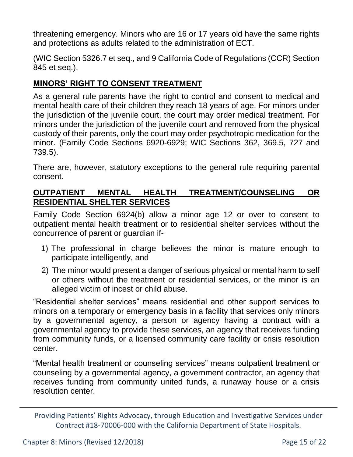threatening emergency. Minors who are 16 or 17 years old have the same rights and protections as adults related to the administration of ECT.

(WIC Section 5326.7 et seq., and 9 California Code of Regulations (CCR) Section 845 et seq.).

#### **MINORS' RIGHT TO CONSENT TREATMENT**

As a general rule parents have the right to control and consent to medical and mental health care of their children they reach 18 years of age. For minors under the jurisdiction of the juvenile court, the court may order medical treatment. For minors under the jurisdiction of the juvenile court and removed from the physical custody of their parents, only the court may order psychotropic medication for the minor. (Family Code Sections 6920-6929; WIC Sections 362, 369.5, 727 and 739.5).

There are, however, statutory exceptions to the general rule requiring parental consent.

#### **OUTPATIENT MENTAL HEALTH TREATMENT/COUNSELING OR RESIDENTIAL SHELTER SERVICES**

Family Code Section 6924(b) allow a minor age 12 or over to consent to outpatient mental health treatment or to residential shelter services without the concurrence of parent or guardian if-

- 1) The professional in charge believes the minor is mature enough to participate intelligently, and
- 2) The minor would present a danger of serious physical or mental harm to self or others without the treatment or residential services, or the minor is an alleged victim of incest or child abuse.

"Residential shelter services" means residential and other support services to minors on a temporary or emergency basis in a facility that services only minors by a governmental agency, a person or agency having a contract with a governmental agency to provide these services, an agency that receives funding from community funds, or a licensed community care facility or crisis resolution center.

"Mental health treatment or counseling services" means outpatient treatment or counseling by a governmental agency, a government contractor, an agency that receives funding from community united funds, a runaway house or a crisis resolution center.

Providing Patients' Rights Advocacy, through Education and Investigative Services under Contract #18-70006-000 with the California Department of State Hospitals.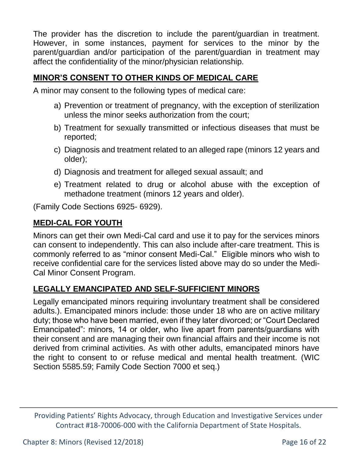The provider has the discretion to include the parent/guardian in treatment. However, in some instances, payment for services to the minor by the parent/guardian and/or participation of the parent/guardian in treatment may affect the confidentiality of the minor/physician relationship.

#### **MINOR'S CONSENT TO OTHER KINDS OF MEDICAL CARE**

A minor may consent to the following types of medical care:

- a) Prevention or treatment of pregnancy, with the exception of sterilization unless the minor seeks authorization from the court;
- b) Treatment for sexually transmitted or infectious diseases that must be reported;
- c) Diagnosis and treatment related to an alleged rape (minors 12 years and older);
- d) Diagnosis and treatment for alleged sexual assault; and
- e) Treatment related to drug or alcohol abuse with the exception of methadone treatment (minors 12 years and older).

(Family Code Sections 6925- 6929).

#### **MEDI-CAL FOR YOUTH**

Minors can get their own Medi-Cal card and use it to pay for the services minors can consent to independently. This can also include after-care treatment. This is commonly referred to as "minor consent Medi-Cal." Eligible minors who wish to receive confidential care for the services listed above may do so under the Medi-Cal Minor Consent Program.

#### **LEGALLY EMANCIPATED AND SELF-SUFFICIENT MINORS**

Legally emancipated minors requiring involuntary treatment shall be considered adults.). Emancipated minors include: those under 18 who are on active military duty; those who have been married, even if they later divorced; or "Court Declared Emancipated": minors, 14 or older, who live apart from parents/guardians with their consent and are managing their own financial affairs and their income is not derived from criminal activities. As with other adults, emancipated minors have the right to consent to or refuse medical and mental health treatment. (WIC Section 5585.59; Family Code Section 7000 et seq.)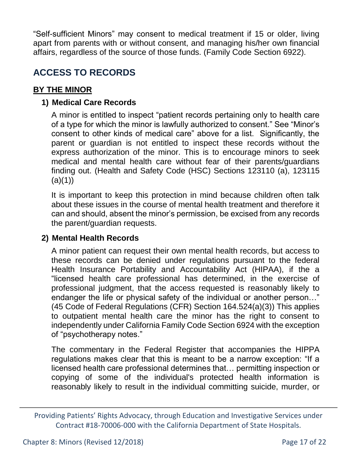"Self-sufficient Minors" may consent to medical treatment if 15 or older, living apart from parents with or without consent, and managing his/her own financial affairs, regardless of the source of those funds. (Family Code Section 6922).

# **ACCESS TO RECORDS**

#### **BY THE MINOR**

#### **1) Medical Care Records**

A minor is entitled to inspect "patient records pertaining only to health care of a type for which the minor is lawfully authorized to consent." See "Minor's consent to other kinds of medical care" above for a list. Significantly, the parent or guardian is not entitled to inspect these records without the express authorization of the minor. This is to encourage minors to seek medical and mental health care without fear of their parents/guardians finding out. (Health and Safety Code (HSC) Sections 123110 (a), 123115  $(a)(1))$ 

It is important to keep this protection in mind because children often talk about these issues in the course of mental health treatment and therefore it can and should, absent the minor's permission, be excised from any records the parent/guardian requests.

#### **2) Mental Health Records**

A minor patient can request their own mental health records, but access to these records can be denied under regulations pursuant to the federal Health Insurance Portability and Accountability Act (HIPAA), if the a "licensed health care professional has determined, in the exercise of professional judgment, that the access requested is reasonably likely to endanger the life or physical safety of the individual or another person…" (45 Code of Federal Regulations (CFR) Section 164.524(a)(3)) This applies to outpatient mental health care the minor has the right to consent to independently under California Family Code Section 6924 with the exception of "psychotherapy notes."

The commentary in the Federal Register that accompanies the HIPPA regulations makes clear that this is meant to be a narrow exception: "If a licensed health care professional determines that… permitting inspection or copying of some of the individual's protected health information is reasonably likely to result in the individual committing suicide, murder, or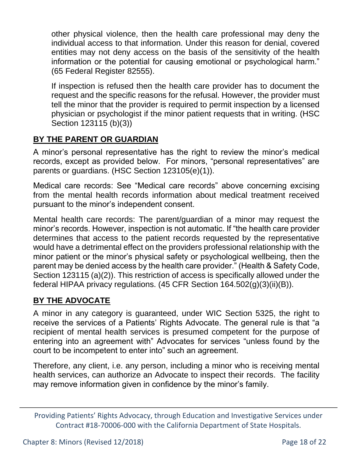other physical violence, then the health care professional may deny the individual access to that information. Under this reason for denial, covered entities may not deny access on the basis of the sensitivity of the health information or the potential for causing emotional or psychological harm." (65 Federal Register 82555).

If inspection is refused then the health care provider has to document the request and the specific reasons for the refusal. However, the provider must tell the minor that the provider is required to permit inspection by a licensed physician or psychologist if the minor patient requests that in writing. (HSC Section 123115 (b)(3))

## **BY THE PARENT OR GUARDIAN**

A minor's personal representative has the right to review the minor's medical records, except as provided below. For minors, "personal representatives" are parents or guardians. (HSC Section 123105(e)(1)).

Medical care records: See "Medical care records" above concerning excising from the mental health records information about medical treatment received pursuant to the minor's independent consent.

Mental health care records: The parent/guardian of a minor may request the minor's records. However, inspection is not automatic. If "the health care provider determines that access to the patient records requested by the representative would have a detrimental effect on the providers professional relationship with the minor patient or the minor's physical safety or psychological wellbeing, then the parent may be denied access by the health care provider." (Health & Safety Code, Section 123115 (a)(2)). This restriction of access is specifically allowed under the federal HIPAA privacy regulations. (45 CFR Section 164.502(g)(3)(ii)(B)).

#### **BY THE ADVOCATE**

A minor in any category is guaranteed, under WIC Section 5325, the right to receive the services of a Patients' Rights Advocate. The general rule is that "a recipient of mental health services is presumed competent for the purpose of entering into an agreement with" Advocates for services "unless found by the court to be incompetent to enter into" such an agreement.

Therefore, any client, i.e. any person, including a minor who is receiving mental health services, can authorize an Advocate to inspect their records. The facility may remove information given in confidence by the minor's family.

Providing Patients' Rights Advocacy, through Education and Investigative Services under Contract #18-70006-000 with the California Department of State Hospitals.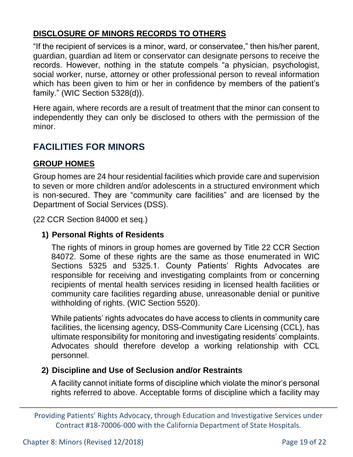## **DISCLOSURE OF MINORS RECORDS TO OTHERS**

"If the recipient of services is a minor, ward, or conservatee," then his/her parent, guardian, guardian ad litem or conservator can designate persons to receive the records. However, nothing in the statute compels "a physician, psychologist, social worker, nurse, attorney or other professional person to reveal information which has been given to him or her in confidence by members of the patient's family." (WIC Section 5328(d)).

Here again, where records are a result of treatment that the minor can consent to independently they can only be disclosed to others with the permission of the minor.

# **FACILITIES FOR MINORS**

#### **GROUP HOMES**

Group homes are 24 hour residential facilities which provide care and supervision to seven or more children and/or adolescents in a structured environment which is non-secured. They are "community care facilities" and are licensed by the Department of Social Services (DSS).

(22 CCR Section 84000 et seq.)

#### **1) Personal Rights of Residents**

The rights of minors in group homes are governed by Title 22 CCR Section 84072. Some of these rights are the same as those enumerated in WIC Sections 5325 and 5325.1. County Patients' Rights Advocates are responsible for receiving and investigating complaints from or concerning recipients of mental health services residing in licensed health facilities or community care facilities regarding abuse, unreasonable denial or punitive withholding of rights. (WIC Section 5520).

While patients' rights advocates do have access to clients in community care facilities, the licensing agency, DSS-Community Care Licensing (CCL), has ultimate responsibility for monitoring and investigating residents' complaints. Advocates should therefore develop a working relationship with CCL personnel.

#### **2) Discipline and Use of Seclusion and/or Restraints**

A facility cannot initiate forms of discipline which violate the minor's personal rights referred to above. Acceptable forms of discipline which a facility may

Providing Patients' Rights Advocacy, through Education and Investigative Services under Contract #18-70006-000 with the California Department of State Hospitals.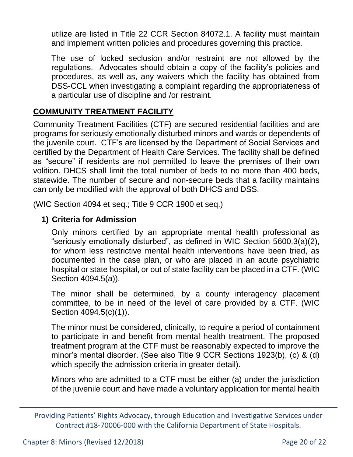utilize are listed in Title 22 CCR Section 84072.1. A facility must maintain and implement written policies and procedures governing this practice.

The use of locked seclusion and/or restraint are not allowed by the regulations. Advocates should obtain a copy of the facility's policies and procedures, as well as, any waivers which the facility has obtained from DSS-CCL when investigating a complaint regarding the appropriateness of a particular use of discipline and /or restraint.

## **COMMUNITY TREATMENT FACILITY**

Community Treatment Facilities (CTF) are secured residential facilities and are programs for seriously emotionally disturbed minors and wards or dependents of the juvenile court. CTF's are licensed by the Department of Social Services and certified by the Department of Health Care Services. The facility shall be defined as "secure" if residents are not permitted to leave the premises of their own volition. DHCS shall limit the total number of beds to no more than 400 beds, statewide. The number of secure and non-secure beds that a facility maintains can only be modified with the approval of both DHCS and DSS.

(WIC Section 4094 et seq.; Title 9 CCR 1900 et seq.)

### **1) Criteria for Admission**

Only minors certified by an appropriate mental health professional as "seriously emotionally disturbed", as defined in WIC Section 5600.3(a)(2), for whom less restrictive mental health interventions have been tried, as documented in the case plan, or who are placed in an acute psychiatric hospital or state hospital, or out of state facility can be placed in a CTF. (WIC Section 4094.5(a)).

The minor shall be determined, by a county interagency placement committee, to be in need of the level of care provided by a CTF. (WIC Section 4094.5(c)(1)).

The minor must be considered, clinically, to require a period of containment to participate in and benefit from mental health treatment. The proposed treatment program at the CTF must be reasonably expected to improve the minor's mental disorder. (See also Title 9 CCR Sections 1923(b), (c) & (d) which specify the admission criteria in greater detail).

Minors who are admitted to a CTF must be either (a) under the jurisdiction of the juvenile court and have made a voluntary application for mental health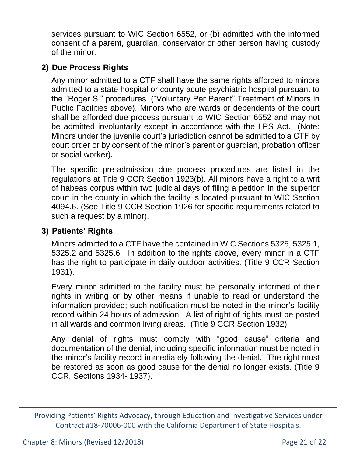services pursuant to WIC Section 6552, or (b) admitted with the informed consent of a parent, guardian, conservator or other person having custody of the minor.

#### **2) Due Process Rights**

Any minor admitted to a CTF shall have the same rights afforded to minors admitted to a state hospital or county acute psychiatric hospital pursuant to the "Roger S." procedures. ("Voluntary Per Parent" Treatment of Minors in Public Facilities above). Minors who are wards or dependents of the court shall be afforded due process pursuant to WIC Section 6552 and may not be admitted involuntarily except in accordance with the LPS Act. (Note: Minors under the juvenile court's jurisdiction cannot be admitted to a CTF by court order or by consent of the minor's parent or guardian, probation officer or social worker).

The specific pre-admission due process procedures are listed in the regulations at Title 9 CCR Section 1923(b). All minors have a right to a writ of habeas corpus within two judicial days of filing a petition in the superior court in the county in which the facility is located pursuant to WIC Section 4094.6. (See Title 9 CCR Section 1926 for specific requirements related to such a request by a minor).

#### **3) Patients' Rights**

Minors admitted to a CTF have the contained in WIC Sections 5325, 5325.1, 5325.2 and 5325.6. In addition to the rights above, every minor in a CTF has the right to participate in daily outdoor activities. (Title 9 CCR Section 1931).

Every minor admitted to the facility must be personally informed of their rights in writing or by other means if unable to read or understand the information provided; such notification must be noted in the minor's facility record within 24 hours of admission. A list of right of rights must be posted in all wards and common living areas. (Title 9 CCR Section 1932).

Any denial of rights must comply with "good cause" criteria and documentation of the denial, including specific information must be noted in the minor's facility record immediately following the denial. The right must be restored as soon as good cause for the denial no longer exists. (Title 9 CCR, Sections 1934- 1937).